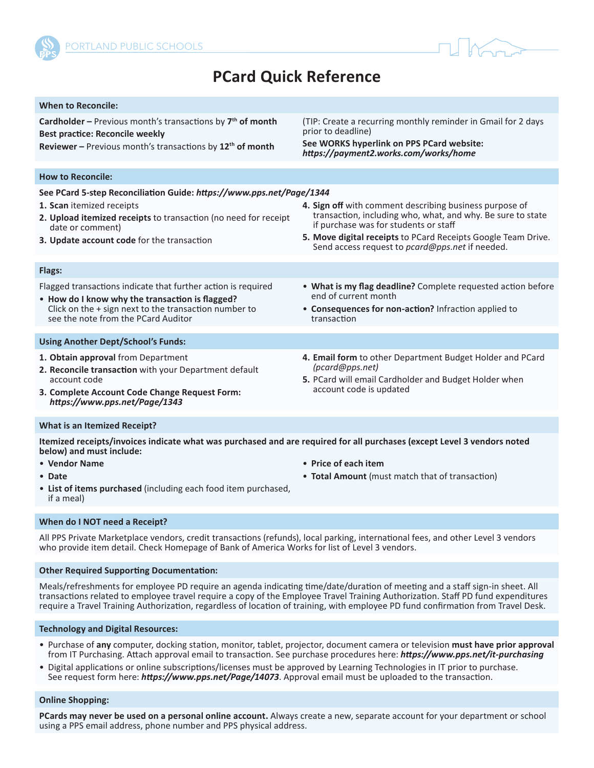



# **PCard Quick Reference**

| <b>When to Reconcile:</b>                                                                                                                                                                                                                                      |                                                                                                                                                                                                                                                                                     |
|----------------------------------------------------------------------------------------------------------------------------------------------------------------------------------------------------------------------------------------------------------------|-------------------------------------------------------------------------------------------------------------------------------------------------------------------------------------------------------------------------------------------------------------------------------------|
| <b>Cardholder</b> - Previous month's transactions by $7th$ of month<br><b>Best practice: Reconcile weekly</b><br>Reviewer - Previous month's transactions by 12 <sup>th</sup> of month                                                                         | (TIP: Create a recurring monthly reminder in Gmail for 2 days<br>prior to deadline)<br>See WORKS hyperlink on PPS PCard website:<br>https://payment2.works.com/works/home                                                                                                           |
|                                                                                                                                                                                                                                                                |                                                                                                                                                                                                                                                                                     |
| <b>How to Reconcile:</b>                                                                                                                                                                                                                                       |                                                                                                                                                                                                                                                                                     |
| See PCard 5-step Reconciliation Guide: https://www.pps.net/Page/1344<br>1. Scan itemized receipts<br>2. Upload itemized receipts to transaction (no need for receipt<br>date or comment)<br>3. Update account code for the transaction                         | 4. Sign off with comment describing business purpose of<br>transaction, including who, what, and why. Be sure to state<br>if purchase was for students or staff<br>5. Move digital receipts to PCard Receipts Google Team Drive.<br>Send access request to pcard@pps.net if needed. |
| Flags:                                                                                                                                                                                                                                                         |                                                                                                                                                                                                                                                                                     |
| Flagged transactions indicate that further action is required<br>• How do I know why the transaction is flagged?<br>Click on the + sign next to the transaction number to<br>see the note from the PCard Auditor                                               | • What is my flag deadline? Complete requested action before<br>end of current month<br>• Consequences for non-action? Infraction applied to<br>transaction                                                                                                                         |
| <b>Using Another Dept/School's Funds:</b>                                                                                                                                                                                                                      |                                                                                                                                                                                                                                                                                     |
| 1. Obtain approval from Department<br>2. Reconcile transaction with your Department default<br>account code<br>3. Complete Account Code Change Request Form:<br>https://www.pps.net/Page/1343                                                                  | 4. Email form to other Department Budget Holder and PCard<br>(pcard@pps.net)<br>5. PCard will email Cardholder and Budget Holder when<br>account code is updated                                                                                                                    |
| <b>What is an Itemized Receipt?</b>                                                                                                                                                                                                                            |                                                                                                                                                                                                                                                                                     |
| Itemized receipts/invoices indicate what was purchased and are required for all purchases (except Level 3 vendors noted<br>below) and must include:<br>• Vendor Name<br>• Date<br>• List of items purchased (including each food item purchased,<br>if a meal) | • Price of each item<br>• Total Amount (must match that of transaction)                                                                                                                                                                                                             |
|                                                                                                                                                                                                                                                                |                                                                                                                                                                                                                                                                                     |

#### **When do I NOT need a Receipt?**

All PPS Private Marketplace vendors, credit transactions (refunds), local parking, international fees, and other Level 3 vendors who provide item detail. Check Homepage of Bank of America Works for list of Level 3 vendors.

# **Other Required Supporting Documentation:**

Meals/refreshments for employee PD require an agenda indicating time/date/duration of meeting and a staff sign-in sheet. All transactions related to employee travel require a copy of the Employee Travel Training Authorization. Staff PD fund expenditures require a Travel Training Authorization, regardless of location of training, with employee PD fund confirmation from Travel Desk.

# **Technology and Digital Resources:**

- Purchase of **any** computer, docking station, monitor, tablet, projector, document camera or television **must have prior approval** from IT Purchasing. Attach approval email to transaction. See purchase procedures here: *<https://www.pps.net/it-purchasing>*
- Digital applications or online subscriptions/licenses must be approved by Learning Technologies in IT prior to purchase. See request form here: *<https://www.pps.net/Page/14073>*. Approval email must be uploaded to the transaction.

#### **Online Shopping:**

**PCards may never be used on a personal online account.** Always create a new, separate account for your department or school using a PPS email address, phone number and PPS physical address.